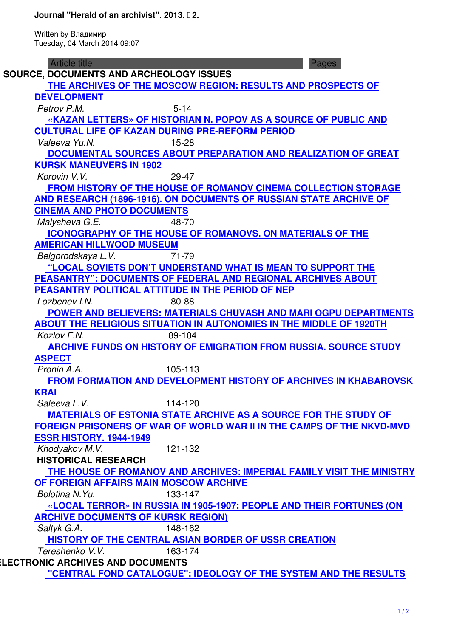| <b>Article title</b><br>Pages                                                |
|------------------------------------------------------------------------------|
| <b>SOURCE, DOCUMENTS AND ARCHEOLOGY ISSUES</b>                               |
| THE ARCHIVES OF THE MOSCOW REGION: RESULTS AND PROSPECTS OF                  |
| <b>DEVELOPMENT</b>                                                           |
| Petrov P.M.<br>$5 - 14$                                                      |
| «KAZAN LETTERS» OF HISTORIAN N. POPOV AS A SOURCE OF PUBLIC AND              |
| <b>CULTURAL LIFE OF KAZAN DURING PRE-REFORM PERIOD</b>                       |
| 15-28<br>Valeeva Yu.N.                                                       |
| DOCUMENTAL SOURCES ABOUT PREPARATION AND REALIZATION OF GREAT                |
| <b>KURSK MANEUVERS IN 1902</b>                                               |
| Korovin V.V.<br>29-47                                                        |
| FROM HISTORY OF THE HOUSE OF ROMANOV CINEMA COLLECTION STORAGE               |
| AND RESEARCH (1896-1916). ON DOCUMENTS OF RUSSIAN STATE ARCHIVE OF           |
| <b>CINEMA AND PHOTO DOCUMENTS</b>                                            |
| Malysheva G.E.<br>48-70                                                      |
| <b>ICONOGRAPHY OF THE HOUSE OF ROMANOVS. ON MATERIALS OF THE</b>             |
| <b>AMERICAN HILLWOOD MUSEUM</b>                                              |
| Belgorodskaya L.V.<br>71-79                                                  |
| "LOCAL SOVIETS DON'T UNDERSTAND WHAT IS MEAN TO SUPPORT THE                  |
| <b>PEASANTRY": DOCUMENTS OF FEDERAL AND REGIONAL ARCHIVES ABOUT</b>          |
| PEASANTRY POLITICAL ATTITUDE IN THE PERIOD OF NEP                            |
| Lozbenev I.N.<br>80-88                                                       |
| POWER AND BELIEVERS: MATERIALS CHUVASH AND MARI OGPU DEPARTMENTS             |
| ABOUT THE RELIGIOUS SITUATION IN AUTONOMIES IN THE MIDDLE OF 1920TH          |
| 89-104<br>Kozlov F.N.                                                        |
| ARCHIVE FUNDS ON HISTORY OF EMIGRATION FROM RUSSIA. SOURCE STUDY             |
| <b>ASPECT</b>                                                                |
| Pronin A.A.<br>105-113                                                       |
| FROM FORMATION AND DEVELOPMENT HISTORY OF ARCHIVES IN KHABAROVSK             |
| <b>KRAI</b>                                                                  |
| Saleeva L.V.<br>114-120                                                      |
| <b>MATERIALS OF ESTONIA STATE ARCHIVE AS A SOURCE FOR THE STUDY OF</b>       |
| <b>FOREIGN PRISONERS OF WAR OF WORLD WAR II IN THE CAMPS OF THE NKVD-MVD</b> |
| <b>ESSR HISTORY. 1944-1949</b>                                               |
| Khodyakov M.V.<br>121-132                                                    |
| <b>HISTORICAL RESEARCH</b>                                                   |
| THE HOUSE OF ROMANOV AND ARCHIVES: IMPERIAL FAMILY VISIT THE MINISTRY        |
| OF FOREIGN AFFAIRS MAIN MOSCOW ARCHIVE                                       |
| Bolotina N.Yu.<br>133-147                                                    |
| «LOCAL TERROR» IN RUSSIA IN 1905-1907: PEOPLE AND THEIR FORTUNES (ON         |
| <b>ARCHIVE DOCUMENTS OF KURSK REGION)</b>                                    |
| Saltyk G.A.<br>148-162                                                       |
| <b>HISTORY OF THE CENTRAL ASIAN BORDER OF USSR CREATION</b>                  |
| Tereshenko V.V.<br>163-174                                                   |
| ELECTRONIC ARCHIVES AND DOCUMENTS                                            |
| "CENTRAL FOND CATALOGUE": IDEOLOGY OF THE SYSTEM AND THE RESULTS             |